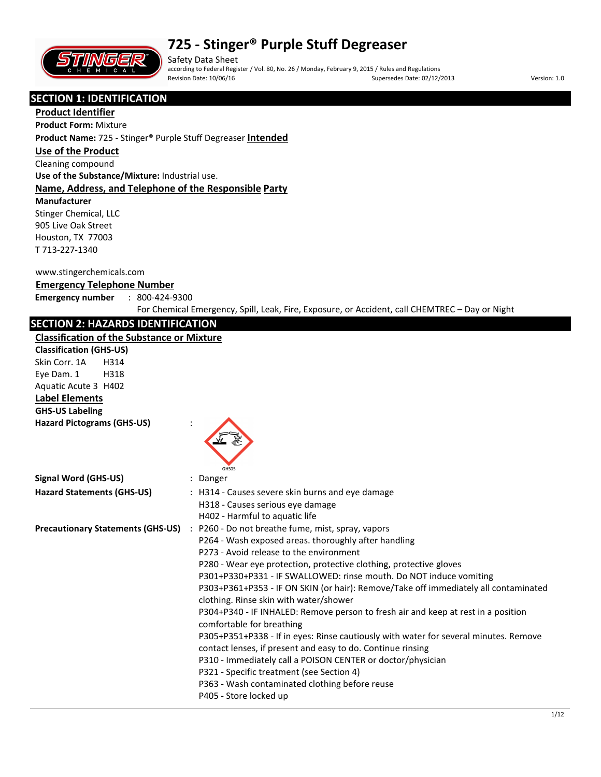

Safety Data Sheet according to Federal Register / Vol. 80, No. 26 / Monday, February 9, 2015 / Rules and Regulations Revision Date: 10/06/16 **Supersedes Date: 02/12/2013** Version: 1.0

### **SECTION 1: IDENTIFICATION**

**Product Identifier**

## **Product Form:** Mixture

**Product Name:** 725 - Stinger® Purple Stuff Degreaser **Intended**

#### **Use of the Product**

Cleaning compound

**Use of the Substance/Mixture:** Industrial use.

#### **Name, Address, and Telephone of the Responsible Party**

#### **Manufacturer**

Stinger Chemical, LLC 905 Live Oak Street Houston, TX 77003 T 713-227-1340

#### www.stingerchemicals.com

#### **Emergency Telephone Number**

**Emergency number** : 800-424-9300

For Chemical Emergency, Spill, Leak, Fire, Exposure, or Accident, call CHEMTREC – Day or Night

## **SECTION 2: HAZARDS IDENTIFICATION**

#### **Classification of the Substance or Mixture**

| Classification of the Substance or Mixture |                                                                                                                                                                                                                                                                                                                                                                                                                                                                                                                                                                                                                                                                                                                                                                                                                                                                                                    |
|--------------------------------------------|----------------------------------------------------------------------------------------------------------------------------------------------------------------------------------------------------------------------------------------------------------------------------------------------------------------------------------------------------------------------------------------------------------------------------------------------------------------------------------------------------------------------------------------------------------------------------------------------------------------------------------------------------------------------------------------------------------------------------------------------------------------------------------------------------------------------------------------------------------------------------------------------------|
| <b>Classification (GHS-US)</b>             |                                                                                                                                                                                                                                                                                                                                                                                                                                                                                                                                                                                                                                                                                                                                                                                                                                                                                                    |
| Skin Corr. 1A<br>H314                      |                                                                                                                                                                                                                                                                                                                                                                                                                                                                                                                                                                                                                                                                                                                                                                                                                                                                                                    |
| H318<br>Eye Dam. 1                         |                                                                                                                                                                                                                                                                                                                                                                                                                                                                                                                                                                                                                                                                                                                                                                                                                                                                                                    |
| Aquatic Acute 3 H402                       |                                                                                                                                                                                                                                                                                                                                                                                                                                                                                                                                                                                                                                                                                                                                                                                                                                                                                                    |
| <b>Label Elements</b>                      |                                                                                                                                                                                                                                                                                                                                                                                                                                                                                                                                                                                                                                                                                                                                                                                                                                                                                                    |
| <b>GHS-US Labeling</b>                     |                                                                                                                                                                                                                                                                                                                                                                                                                                                                                                                                                                                                                                                                                                                                                                                                                                                                                                    |
| <b>Hazard Pictograms (GHS-US)</b>          | GHS05                                                                                                                                                                                                                                                                                                                                                                                                                                                                                                                                                                                                                                                                                                                                                                                                                                                                                              |
| <b>Signal Word (GHS-US)</b>                | : Danger                                                                                                                                                                                                                                                                                                                                                                                                                                                                                                                                                                                                                                                                                                                                                                                                                                                                                           |
| <b>Hazard Statements (GHS-US)</b>          | : H314 - Causes severe skin burns and eye damage<br>H318 - Causes serious eye damage<br>H402 - Harmful to aquatic life                                                                                                                                                                                                                                                                                                                                                                                                                                                                                                                                                                                                                                                                                                                                                                             |
| <b>Precautionary Statements (GHS-US)</b>   | : P260 - Do not breathe fume, mist, spray, vapors<br>P264 - Wash exposed areas. thoroughly after handling<br>P273 - Avoid release to the environment<br>P280 - Wear eye protection, protective clothing, protective gloves<br>P301+P330+P331 - IF SWALLOWED: rinse mouth. Do NOT induce vomiting<br>P303+P361+P353 - IF ON SKIN (or hair): Remove/Take off immediately all contaminated<br>clothing. Rinse skin with water/shower<br>P304+P340 - IF INHALED: Remove person to fresh air and keep at rest in a position<br>comfortable for breathing<br>P305+P351+P338 - If in eyes: Rinse cautiously with water for several minutes. Remove<br>contact lenses, if present and easy to do. Continue rinsing<br>P310 - Immediately call a POISON CENTER or doctor/physician<br>P321 - Specific treatment (see Section 4)<br>P363 - Wash contaminated clothing before reuse<br>P405 - Store locked up |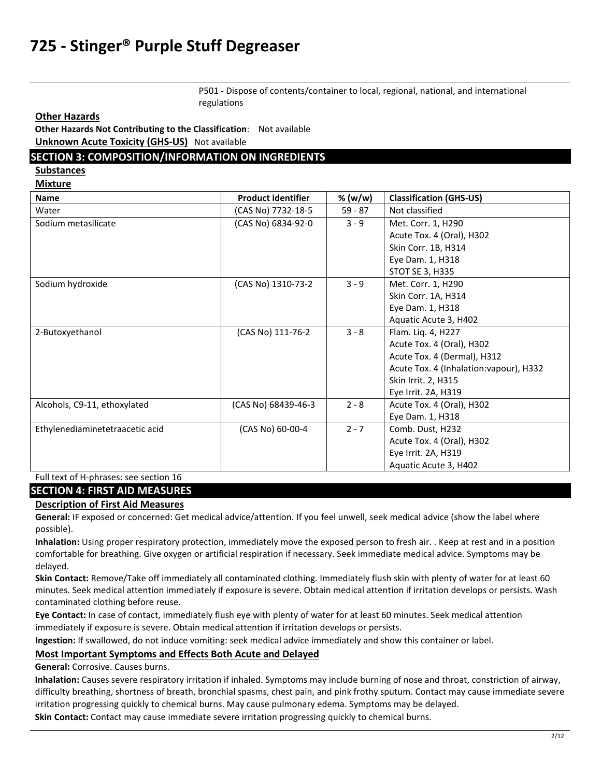P501 - Dispose of contents/container to local, regional, national, and international regulations

**Other Hazards**

**Other Hazards Not Contributing to the Classification**: Not available **Unknown Acute Toxicity (GHS-US)** Not available

#### **SECTION 3: COMPOSITION/INFORMATION ON INGREDIENTS**

**Substances** 

**Mixture** 

| <b>Name</b>                     | <b>Product identifier</b> | % (w/w)   | <b>Classification (GHS-US)</b>          |
|---------------------------------|---------------------------|-----------|-----------------------------------------|
| Water                           | (CAS No) 7732-18-5        | $59 - 87$ | Not classified                          |
| Sodium metasilicate             | (CAS No) 6834-92-0        | $3 - 9$   | Met. Corr. 1, H290                      |
|                                 |                           |           | Acute Tox. 4 (Oral), H302               |
|                                 |                           |           | Skin Corr. 1B, H314                     |
|                                 |                           |           | Eye Dam. 1, H318                        |
|                                 |                           |           | <b>STOT SE 3, H335</b>                  |
| Sodium hydroxide                | (CAS No) 1310-73-2        | $3 - 9$   | Met. Corr. 1, H290                      |
|                                 |                           |           | Skin Corr. 1A, H314                     |
|                                 |                           |           | Eye Dam. 1, H318                        |
|                                 |                           |           | Aquatic Acute 3, H402                   |
| 2-Butoxyethanol                 | (CAS No) 111-76-2         | $3 - 8$   | Flam. Liq. 4, H227                      |
|                                 |                           |           | Acute Tox. 4 (Oral), H302               |
|                                 |                           |           | Acute Tox. 4 (Dermal), H312             |
|                                 |                           |           | Acute Tox. 4 (Inhalation: vapour), H332 |
|                                 |                           |           | Skin Irrit. 2, H315                     |
|                                 |                           |           | Eye Irrit. 2A, H319                     |
| Alcohols, C9-11, ethoxylated    | (CAS No) 68439-46-3       | $2 - 8$   | Acute Tox. 4 (Oral), H302               |
|                                 |                           |           | Eye Dam. 1, H318                        |
| Ethylenediaminetetraacetic acid | (CAS No) 60-00-4          | $2 - 7$   | Comb. Dust, H232                        |
|                                 |                           |           | Acute Tox. 4 (Oral), H302               |
|                                 |                           |           | Eye Irrit. 2A, H319                     |
|                                 |                           |           | Aquatic Acute 3, H402                   |

Full text of H-phrases: see section 16

#### **SECTION 4: FIRST AID MEASURES**

#### **Description of First Aid Measures**

**General:** IF exposed or concerned: Get medical advice/attention. If you feel unwell, seek medical advice (show the label where possible).

**Inhalation:** Using proper respiratory protection, immediately move the exposed person to fresh air. . Keep at rest and in a position comfortable for breathing. Give oxygen or artificial respiration if necessary. Seek immediate medical advice. Symptoms may be delayed.

**Skin Contact:** Remove/Take off immediately all contaminated clothing. Immediately flush skin with plenty of water for at least 60 minutes. Seek medical attention immediately if exposure is severe. Obtain medical attention if irritation develops or persists. Wash contaminated clothing before reuse.

**Eye Contact:** In case of contact, immediately flush eye with plenty of water for at least 60 minutes. Seek medical attention immediately if exposure is severe. Obtain medical attention if irritation develops or persists.

**Ingestion:** If swallowed, do not induce vomiting: seek medical advice immediately and show this container or label.

#### **Most Important Symptoms and Effects Both Acute and Delayed**

**General:** Corrosive. Causes burns.

**Inhalation:** Causes severe respiratory irritation if inhaled. Symptoms may include burning of nose and throat, constriction of airway, difficulty breathing, shortness of breath, bronchial spasms, chest pain, and pink frothy sputum. Contact may cause immediate severe irritation progressing quickly to chemical burns. May cause pulmonary edema. Symptoms may be delayed.

**Skin Contact:** Contact may cause immediate severe irritation progressing quickly to chemical burns.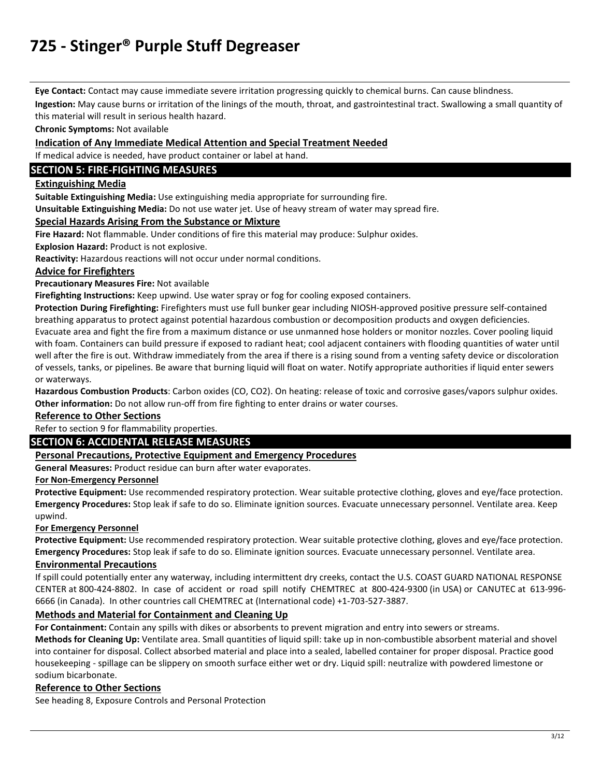**Eye Contact:** Contact may cause immediate severe irritation progressing quickly to chemical burns. Can cause blindness.

**Ingestion:** May cause burns or irritation of the linings of the mouth, throat, and gastrointestinal tract. Swallowing a small quantity of this material will result in serious health hazard.

**Chronic Symptoms:** Not available

#### **Indication of Any Immediate Medical Attention and Special Treatment Needed**

If medical advice is needed, have product container or label at hand.

### **SECTION 5: FIRE-FIGHTING MEASURES**

### **Extinguishing Media**

**Suitable Extinguishing Media:** Use extinguishing media appropriate for surrounding fire.

**Unsuitable Extinguishing Media:** Do not use water jet. Use of heavy stream of water may spread fire.

#### **Special Hazards Arising From the Substance or Mixture**

**Fire Hazard:** Not flammable. Under conditions of fire this material may produce: Sulphur oxides.

**Explosion Hazard:** Product is not explosive.

**Reactivity:** Hazardous reactions will not occur under normal conditions.

#### **Advice for Firefighters**

**Precautionary Measures Fire:** Not available

**Firefighting Instructions:** Keep upwind. Use water spray or fog for cooling exposed containers.

**Protection During Firefighting:** Firefighters must use full bunker gear including NIOSH-approved positive pressure self-contained breathing apparatus to protect against potential hazardous combustion or decomposition products and oxygen deficiencies. Evacuate area and fight the fire from a maximum distance or use unmanned hose holders or monitor nozzles. Cover pooling liquid with foam. Containers can build pressure if exposed to radiant heat; cool adjacent containers with flooding quantities of water until well after the fire is out. Withdraw immediately from the area if there is a rising sound from a venting safety device or discoloration of vessels, tanks, or pipelines. Be aware that burning liquid will float on water. Notify appropriate authorities if liquid enter sewers or waterways.

**Hazardous Combustion Products**: Carbon oxides (CO, CO2). On heating: release of toxic and corrosive gases/vapors sulphur oxides. **Other information:** Do not allow run-off from fire fighting to enter drains or water courses.

#### **Reference to Other Sections**

### Refer to section 9 for flammability properties.

### **SECTION 6: ACCIDENTAL RELEASE MEASURES**

#### **Personal Precautions, Protective Equipment and Emergency Procedures**

**General Measures:** Product residue can burn after water evaporates.

#### **For Non-Emergency Personnel**

**Protective Equipment:** Use recommended respiratory protection. Wear suitable protective clothing, gloves and eye/face protection. **Emergency Procedures:** Stop leak if safe to do so. Eliminate ignition sources. Evacuate unnecessary personnel. Ventilate area. Keep upwind.

#### **For Emergency Personnel**

**Protective Equipment:** Use recommended respiratory protection. Wear suitable protective clothing, gloves and eye/face protection. **Emergency Procedures:** Stop leak if safe to do so. Eliminate ignition sources. Evacuate unnecessary personnel. Ventilate area.

#### **Environmental Precautions**

If spill could potentially enter any waterway, including intermittent dry creeks, contact the U.S. COAST GUARD NATIONAL RESPONSE CENTER at 800-424-8802. In case of accident or road spill notify CHEMTREC at 800-424-9300 (in USA) or CANUTEC at 613-996- 6666 (in Canada). In other countries call CHEMTREC at (International code) +1-703-527-3887.

#### **Methods and Material for Containment and Cleaning Up**

**For Containment:** Contain any spills with dikes or absorbents to prevent migration and entry into sewers or streams.

**Methods for Cleaning Up:** Ventilate area. Small quantities of liquid spill: take up in non-combustible absorbent material and shovel into container for disposal. Collect absorbed material and place into a sealed, labelled container for proper disposal. Practice good housekeeping - spillage can be slippery on smooth surface either wet or dry. Liquid spill: neutralize with powdered limestone or sodium bicarbonate.

#### **Reference to Other Sections**

See heading 8, Exposure Controls and Personal Protection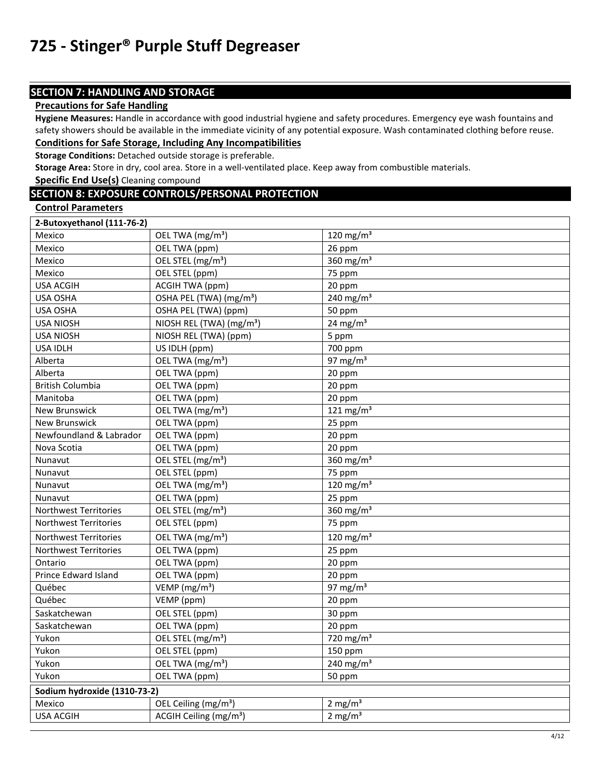## **SECTION 7: HANDLING AND STORAGE**

### **Precautions for Safe Handling**

**Hygiene Measures:** Handle in accordance with good industrial hygiene and safety procedures. Emergency eye wash fountains and safety showers should be available in the immediate vicinity of any potential exposure. Wash contaminated clothing before reuse. **Conditions for Safe Storage, Including Any Incompatibilities** 

## **Storage Conditions:** Detached outside storage is preferable.

**Storage Area:** Store in dry, cool area. Store in a well-ventilated place. Keep away from combustible materials.

**Specific End Use(s)** Cleaning compound

### **SECTION 8: EXPOSURE CONTROLS/PERSONAL PROTECTION**

**Control Parameters** 

| 2-Butoxyethanol (111-76-2)   |                                      |                                   |
|------------------------------|--------------------------------------|-----------------------------------|
| Mexico                       | OEL TWA (mg/m <sup>3</sup> )         | 120 mg/m $3$                      |
| Mexico                       | OEL TWA (ppm)                        | 26 ppm                            |
| Mexico                       | OEL STEL (mg/m <sup>3</sup> )        | 360 mg/ $m3$                      |
| Mexico                       | OEL STEL (ppm)                       | 75 ppm                            |
| <b>USA ACGIH</b>             | <b>ACGIH TWA (ppm)</b>               | 20 ppm                            |
| USA OSHA                     | OSHA PEL (TWA) (mg/m <sup>3</sup> )  | 240 mg/m $3$                      |
| <b>USA OSHA</b>              | OSHA PEL (TWA) (ppm)                 | 50 ppm                            |
| <b>USA NIOSH</b>             | NIOSH REL (TWA) (mg/m <sup>3</sup> ) | $24 \text{ mg/m}^3$               |
| <b>USA NIOSH</b>             | NIOSH REL (TWA) (ppm)                | 5 ppm                             |
| <b>USA IDLH</b>              | US IDLH (ppm)                        | 700 ppm                           |
| Alberta                      | OEL TWA (mg/m <sup>3</sup> )         | 97 mg/m $3$                       |
| Alberta                      | OEL TWA (ppm)                        | 20 ppm                            |
| <b>British Columbia</b>      | OEL TWA (ppm)                        | 20 ppm                            |
| Manitoba                     | OEL TWA (ppm)                        | 20 ppm                            |
| <b>New Brunswick</b>         | OEL TWA (mg/m <sup>3</sup> )         | 121 mg/m $3$                      |
| <b>New Brunswick</b>         | OEL TWA (ppm)                        | 25 ppm                            |
| Newfoundland & Labrador      | OEL TWA (ppm)                        | 20 ppm                            |
| Nova Scotia                  | OEL TWA (ppm)                        | 20 ppm                            |
| Nunavut                      | OEL STEL (mg/m <sup>3</sup> )        | $\frac{1}{360}$ mg/m <sup>3</sup> |
| Nunavut                      | OEL STEL (ppm)                       | 75 ppm                            |
| Nunavut                      | OEL TWA (mg/m <sup>3</sup> )         | 120 mg/m $3$                      |
| Nunavut                      | OEL TWA (ppm)                        | 25 ppm                            |
| <b>Northwest Territories</b> | OEL STEL (mg/m <sup>3</sup> )        | 360 mg/m $3$                      |
| <b>Northwest Territories</b> | OEL STEL (ppm)                       | 75 ppm                            |
| Northwest Territories        | OEL TWA (mg/m <sup>3</sup> )         | 120 mg/m <sup>3</sup>             |
| Northwest Territories        | OEL TWA (ppm)                        | 25 ppm                            |
| Ontario                      | OEL TWA (ppm)                        | 20 ppm                            |
| Prince Edward Island         | OEL TWA (ppm)                        | 20 ppm                            |
| Québec                       | VEMP ( $mg/m3$ )                     | 97 mg/m $3$                       |
| Québec                       | VEMP (ppm)                           | 20 ppm                            |
| Saskatchewan                 | OEL STEL (ppm)                       | 30 ppm                            |
| Saskatchewan                 | OEL TWA (ppm)                        | 20 ppm                            |
| Yukon                        | OEL STEL (mg/m <sup>3</sup> )        | 720 mg/m $3$                      |
| Yukon                        | OEL STEL (ppm)                       | 150 ppm                           |
| Yukon                        | OEL TWA (mg/m <sup>3</sup> )         | 240 mg/m $3$                      |
| Yukon                        | OEL TWA (ppm)                        | 50 ppm                            |
| Sodium hydroxide (1310-73-2) |                                      |                                   |
| Mexico                       | OEL Ceiling (mg/m <sup>3</sup> )     | 2 mg/ $m3$                        |
| <b>USA ACGIH</b>             | ACGIH Ceiling (mg/m <sup>3</sup> )   | $2 \text{ mg/m}^3$                |
|                              |                                      |                                   |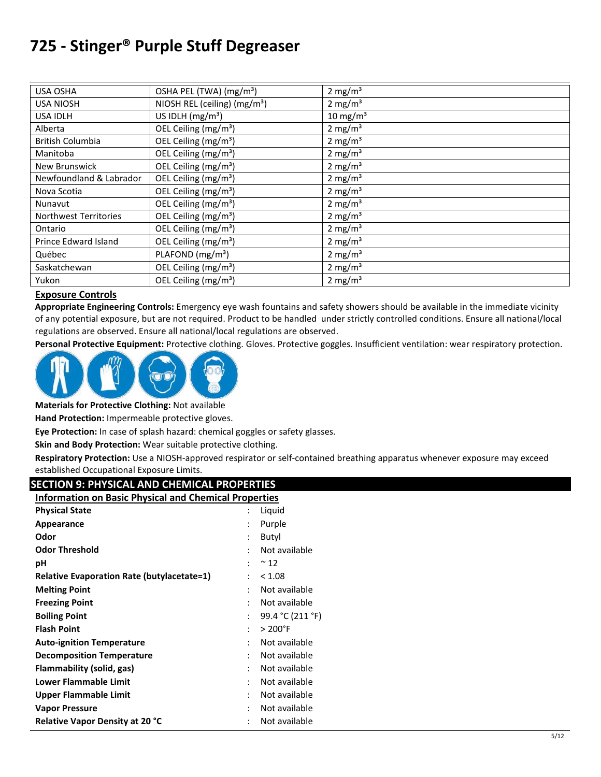| <b>USA OSHA</b>              | OSHA PEL (TWA) (mg/m <sup>3</sup> ) | $2 \text{ mg/m}^3$  |
|------------------------------|-------------------------------------|---------------------|
| <b>USA NIOSH</b>             | NIOSH REL (ceiling) $(mg/m3)$       | 2 mg/m <sup>3</sup> |
| <b>USA IDLH</b>              | US IDLH $(mg/m3)$                   | $10 \text{ mg/m}^3$ |
| Alberta                      | OEL Ceiling (mg/m <sup>3</sup> )    | $2 \text{ mg/m}^3$  |
| <b>British Columbia</b>      | OEL Ceiling (mg/m <sup>3</sup> )    | 2 mg/m <sup>3</sup> |
| Manitoba                     | OEL Ceiling (mg/m <sup>3</sup> )    | 2 mg/ $m3$          |
| <b>New Brunswick</b>         | OEL Ceiling (mg/m <sup>3</sup> )    | $2 \text{ mg/m}^3$  |
| Newfoundland & Labrador      | OEL Ceiling (mg/m <sup>3</sup> )    | 2 mg/m <sup>3</sup> |
| Nova Scotia                  | OEL Ceiling (mg/m <sup>3</sup> )    | 2 mg/m <sup>3</sup> |
| Nunavut                      | OEL Ceiling (mg/m <sup>3</sup> )    | 2 mg/ $m3$          |
| <b>Northwest Territories</b> | OEL Ceiling (mg/m <sup>3</sup> )    | 2 mg/m <sup>3</sup> |
| Ontario                      | OEL Ceiling (mg/m <sup>3</sup> )    | 2 mg/m <sup>3</sup> |
| Prince Edward Island         | OEL Ceiling (mg/m <sup>3</sup> )    | 2 mg/m <sup>3</sup> |
| Québec                       | PLAFOND (mg/m <sup>3</sup> )        | 2 mg/m <sup>3</sup> |
| Saskatchewan                 | OEL Ceiling (mg/m <sup>3</sup> )    | 2 mg/m <sup>3</sup> |
| Yukon                        | OEL Ceiling (mg/m <sup>3</sup> )    | 2 mg/ $m3$          |

### **Exposure Controls**

**Appropriate Engineering Controls:** Emergency eye wash fountains and safety showers should be available in the immediate vicinity of any potential exposure, but are not required. Product to be handled under strictly controlled conditions. Ensure all national/local regulations are observed. Ensure all national/local regulations are observed.

**Personal Protective Equipment:** Protective clothing. Gloves. Protective goggles. Insufficient ventilation: wear respiratory protection.



**Materials for Protective Clothing:** Not available

**Hand Protection:** Impermeable protective gloves.

**Eye Protection:** In case of splash hazard: chemical goggles or safety glasses.

**Skin and Body Protection:** Wear suitable protective clothing.

**Respiratory Protection:** Use a NIOSH-approved respirator or self-contained breathing apparatus whenever exposure may exceed established Occupational Exposure Limits.

### **SECTION 9: PHYSICAL AND CHEMICAL PROPERTIES**

| <b>Information on Basic Physical and Chemical Properties</b> |                |                   |
|--------------------------------------------------------------|----------------|-------------------|
| <b>Physical State</b>                                        |                | Liquid            |
| Appearance                                                   | $\ddot{\cdot}$ | Purple            |
| Odor                                                         | $\ddot{\cdot}$ | Butyl             |
| <b>Odor Threshold</b>                                        |                | Not available     |
| рH                                                           | $\ddot{\cdot}$ | $~^{\sim}$ 12     |
| <b>Relative Evaporation Rate (butylacetate=1)</b>            | t              | < 1.08            |
| <b>Melting Point</b>                                         | ٠              | Not available     |
| <b>Freezing Point</b>                                        | $\ddot{\cdot}$ | Not available     |
| <b>Boiling Point</b>                                         | $\ddot{\cdot}$ | 99.4 °C (211 °F)  |
| <b>Flash Point</b>                                           | $\ddot{\cdot}$ | $> 200^{\circ}$ F |
| <b>Auto-ignition Temperature</b>                             | $\ddot{\cdot}$ | Not available     |
| <b>Decomposition Temperature</b>                             | $\ddot{\cdot}$ | Not available     |
| Flammability (solid, gas)                                    | $\ddot{\cdot}$ | Not available     |
| Lower Flammable Limit                                        | $\ddot{\cdot}$ | Not available     |
| <b>Upper Flammable Limit</b>                                 |                | Not available     |
| <b>Vapor Pressure</b>                                        |                | Not available     |
| <b>Relative Vapor Density at 20 °C</b>                       | $\ddot{\cdot}$ | Not available     |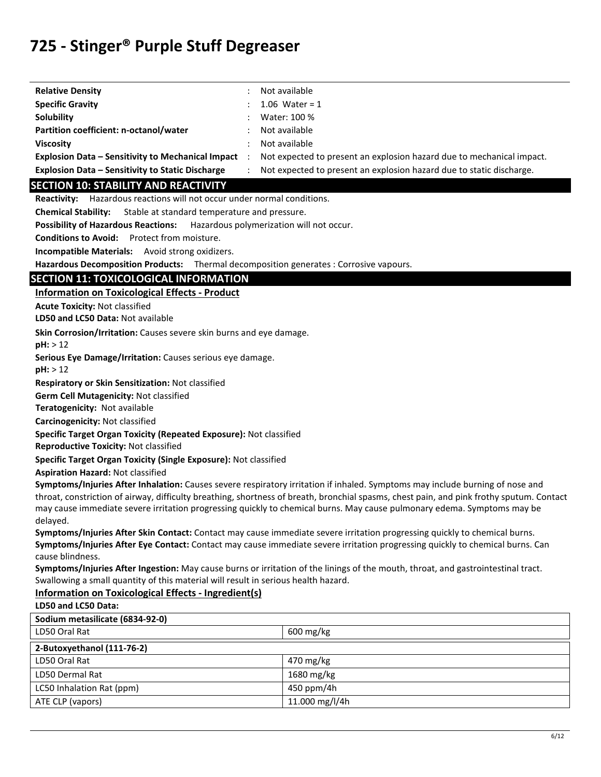| <b>Relative Density</b>                                  | Not available                                                         |
|----------------------------------------------------------|-----------------------------------------------------------------------|
| <b>Specific Gravity</b>                                  | 1.06 Water = $1$                                                      |
| Solubility                                               | Water: 100 %                                                          |
| Partition coefficient: n-octanol/water                   | Not available                                                         |
| <b>Viscosity</b>                                         | Not available                                                         |
| <b>Explosion Data - Sensitivity to Mechanical Impact</b> | Not expected to present an explosion hazard due to mechanical impact. |
| <b>Explosion Data – Sensitivity to Static Discharge</b>  | Not expected to present an explosion hazard due to static discharge.  |
| <b>SECTION 10: STABILITY AND REACTIVITY</b>              |                                                                       |

**Reactivity:** Hazardous reactions will not occur under normal conditions.

**Chemical Stability:** Stable at standard temperature and pressure.

**Possibility of Hazardous Reactions:** Hazardous polymerization will not occur.

**Conditions to Avoid:** Protect from moisture.

**Incompatible Materials:** Avoid strong oxidizers.

**Hazardous Decomposition Products:** Thermal decomposition generates : Corrosive vapours.

### **SECTION 11: TOXICOLOGICAL INFORMATION**

**Information on Toxicological Effects - Product** 

**Acute Toxicity:** Not classified

**LD50 and LC50 Data:** Not available

**Skin Corrosion/Irritation:** Causes severe skin burns and eye damage.

**pH:** > 12

**Serious Eye Damage/Irritation:** Causes serious eye damage.

**pH:** > 12

**Respiratory or Skin Sensitization:** Not classified

**Germ Cell Mutagenicity:** Not classified

**Teratogenicity:** Not available

**Carcinogenicity:** Not classified

**Specific Target Organ Toxicity (Repeated Exposure):** Not classified

**Reproductive Toxicity:** Not classified

**Specific Target Organ Toxicity (Single Exposure):** Not classified

**Aspiration Hazard:** Not classified

**Symptoms/Injuries After Inhalation:** Causes severe respiratory irritation if inhaled. Symptoms may include burning of nose and throat, constriction of airway, difficulty breathing, shortness of breath, bronchial spasms, chest pain, and pink frothy sputum. Contact may cause immediate severe irritation progressing quickly to chemical burns. May cause pulmonary edema. Symptoms may be delayed.

**Symptoms/Injuries After Skin Contact:** Contact may cause immediate severe irritation progressing quickly to chemical burns. **Symptoms/Injuries After Eye Contact:** Contact may cause immediate severe irritation progressing quickly to chemical burns. Can cause blindness.

**Symptoms/Injuries After Ingestion:** May cause burns or irritation of the linings of the mouth, throat, and gastrointestinal tract. Swallowing a small quantity of this material will result in serious health hazard.

#### **Information on Toxicological Effects - Ingredient(s) LD50 and LC50 Data:**

| Sodium metasilicate (6834-92-0) |                        |
|---------------------------------|------------------------|
| LD50 Oral Rat                   | $600 \,\mathrm{mg/kg}$ |
| 2-Butoxyethanol (111-76-2)      |                        |
| LD50 Oral Rat                   | 470 mg/kg              |
| LD50 Dermal Rat                 | 1680 mg/kg             |
| LC50 Inhalation Rat (ppm)       | 450 ppm/4h             |
| ATE CLP (vapors)                | 11.000 mg/l/4h         |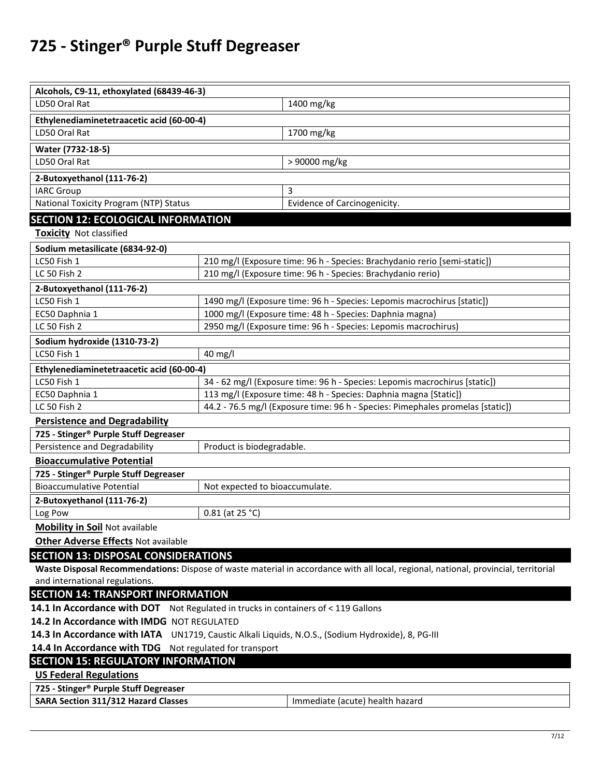| Alcohols, C9-11, ethoxylated (68439-46-3)                                                          |                                                                            |                                                                                                                                     |  |
|----------------------------------------------------------------------------------------------------|----------------------------------------------------------------------------|-------------------------------------------------------------------------------------------------------------------------------------|--|
| LD50 Oral Rat                                                                                      |                                                                            | 1400 mg/kg                                                                                                                          |  |
| Ethylenediaminetetraacetic acid (60-00-4)                                                          |                                                                            |                                                                                                                                     |  |
| LD50 Oral Rat                                                                                      |                                                                            | 1700 mg/kg                                                                                                                          |  |
| Water (7732-18-5)                                                                                  |                                                                            |                                                                                                                                     |  |
| LD50 Oral Rat                                                                                      |                                                                            | > 90000 mg/kg                                                                                                                       |  |
| 2-Butoxyethanol (111-76-2)                                                                         |                                                                            |                                                                                                                                     |  |
| <b>IARC Group</b>                                                                                  |                                                                            | 3                                                                                                                                   |  |
| National Toxicity Program (NTP) Status                                                             |                                                                            | Evidence of Carcinogenicity.                                                                                                        |  |
| <b>SECTION 12: ECOLOGICAL INFORMATION</b>                                                          |                                                                            |                                                                                                                                     |  |
| <b>Toxicity</b> Not classified                                                                     |                                                                            |                                                                                                                                     |  |
| Sodium metasilicate (6834-92-0)                                                                    |                                                                            |                                                                                                                                     |  |
| LC50 Fish 1                                                                                        |                                                                            | 210 mg/l (Exposure time: 96 h - Species: Brachydanio rerio [semi-static])                                                           |  |
| LC 50 Fish 2                                                                                       |                                                                            | 210 mg/l (Exposure time: 96 h - Species: Brachydanio rerio)                                                                         |  |
| 2-Butoxyethanol (111-76-2)                                                                         |                                                                            |                                                                                                                                     |  |
| LC50 Fish 1                                                                                        |                                                                            | 1490 mg/l (Exposure time: 96 h - Species: Lepomis macrochirus [static])                                                             |  |
| EC50 Daphnia 1                                                                                     | 1000 mg/l (Exposure time: 48 h - Species: Daphnia magna)                   |                                                                                                                                     |  |
| LC 50 Fish 2                                                                                       |                                                                            | 2950 mg/l (Exposure time: 96 h - Species: Lepomis macrochirus)                                                                      |  |
| Sodium hydroxide (1310-73-2)                                                                       |                                                                            |                                                                                                                                     |  |
| LC50 Fish 1                                                                                        | 40 mg/l                                                                    |                                                                                                                                     |  |
| Ethylenediaminetetraacetic acid (60-00-4)                                                          |                                                                            |                                                                                                                                     |  |
| LC50 Fish 1                                                                                        | 34 - 62 mg/l (Exposure time: 96 h - Species: Lepomis macrochirus [static]) |                                                                                                                                     |  |
| EC50 Daphnia 1                                                                                     | 113 mg/l (Exposure time: 48 h - Species: Daphnia magna [Static])           |                                                                                                                                     |  |
| 44.2 - 76.5 mg/l (Exposure time: 96 h - Species: Pimephales promelas [static])<br>LC 50 Fish 2     |                                                                            |                                                                                                                                     |  |
| <b>Persistence and Degradability</b>                                                               |                                                                            |                                                                                                                                     |  |
| 725 - Stinger <sup>®</sup> Purple Stuff Degreaser                                                  |                                                                            |                                                                                                                                     |  |
| Persistence and Degradability                                                                      | Product is biodegradable.                                                  |                                                                                                                                     |  |
| <b>Bioaccumulative Potential</b>                                                                   |                                                                            |                                                                                                                                     |  |
| 725 - Stinger <sup>®</sup> Purple Stuff Degreaser<br><b>Bioaccumulative Potential</b>              | Not expected to bioaccumulate.                                             |                                                                                                                                     |  |
|                                                                                                    |                                                                            |                                                                                                                                     |  |
| 2-Butoxyethanol (111-76-2)                                                                         | $0.81$ (at 25 °C)                                                          |                                                                                                                                     |  |
| Log Pow<br><b>Mobility in Soil Not available</b>                                                   |                                                                            |                                                                                                                                     |  |
| <b>Other Adverse Effects Not available</b>                                                         |                                                                            |                                                                                                                                     |  |
|                                                                                                    |                                                                            |                                                                                                                                     |  |
| <b>SECTION 13: DISPOSAL CONSIDERATIONS</b>                                                         |                                                                            |                                                                                                                                     |  |
| and international regulations.                                                                     |                                                                            | Waste Disposal Recommendations: Dispose of waste material in accordance with all local, regional, national, provincial, territorial |  |
| <b>SECTION 14: TRANSPORT INFORMATION</b>                                                           |                                                                            |                                                                                                                                     |  |
| 14.1 In Accordance with DOT Not Regulated in trucks in containers of < 119 Gallons                 |                                                                            |                                                                                                                                     |  |
| 14.2 In Accordance with IMDG NOT REGULATED                                                         |                                                                            |                                                                                                                                     |  |
| 14.3 In Accordance with IATA UN1719, Caustic Alkali Liquids, N.O.S., (Sodium Hydroxide), 8, PG-III |                                                                            |                                                                                                                                     |  |
| 14.4 In Accordance with TDG Not regulated for transport                                            |                                                                            |                                                                                                                                     |  |
| <b>SECTION 15: REGULATORY INFORMATION</b>                                                          |                                                                            |                                                                                                                                     |  |
| <b>US Federal Regulations</b>                                                                      |                                                                            |                                                                                                                                     |  |
| 725 - Stinger® Purple Stuff Degreaser                                                              |                                                                            |                                                                                                                                     |  |
| <b>SARA Section 311/312 Hazard Classes</b>                                                         |                                                                            | Immediate (acute) health hazard                                                                                                     |  |
|                                                                                                    |                                                                            |                                                                                                                                     |  |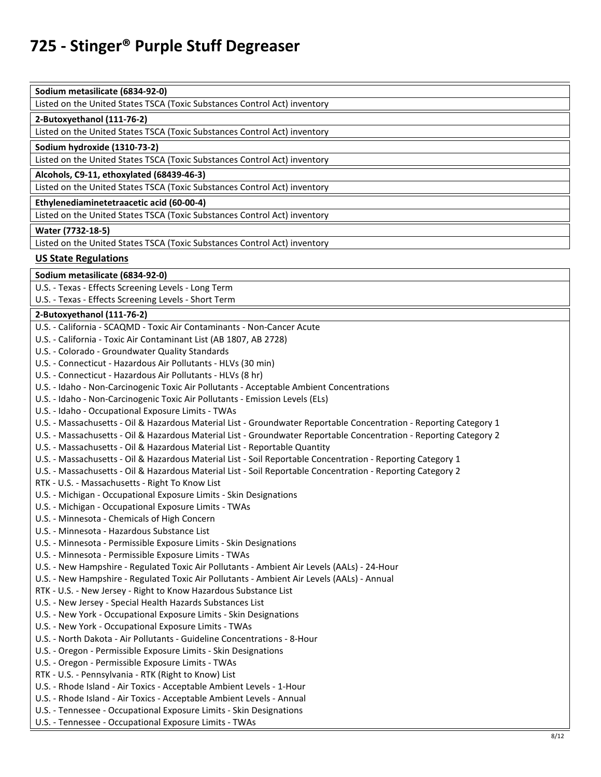| Sodium metasilicate (6834-92-0) |
|---------------------------------|
|---------------------------------|

Listed on the United States TSCA (Toxic Substances Control Act) inventory

#### **2-Butoxyethanol (111-76-2)**

Listed on the United States TSCA (Toxic Substances Control Act) inventory

#### **Sodium hydroxide (1310-73-2)**

Listed on the United States TSCA (Toxic Substances Control Act) inventory

**Alcohols, C9-11, ethoxylated (68439-46-3)** 

Listed on the United States TSCA (Toxic Substances Control Act) inventory

**Ethylenediaminetetraacetic acid (60-00-4)** 

Listed on the United States TSCA (Toxic Substances Control Act) inventory

#### **Water (7732-18-5)**

Listed on the United States TSCA (Toxic Substances Control Act) inventory

#### **US State Regulations**

**Sodium metasilicate (6834-92-0)** 

U.S. - Texas - Effects Screening Levels - Long Term

U.S. - Texas - Effects Screening Levels - Short Term

#### **2-Butoxyethanol (111-76-2)**

| U.S. - California - SCAQMD - Toxic Air Contaminants - Non-Cancer Acute                                             |
|--------------------------------------------------------------------------------------------------------------------|
| U.S. - California - Toxic Air Contaminant List (AB 1807, AB 2728)                                                  |
| U.S. - Colorado - Groundwater Quality Standards                                                                    |
| U.S. - Connecticut - Hazardous Air Pollutants - HLVs (30 min)                                                      |
| U.S. - Connecticut - Hazardous Air Pollutants - HLVs (8 hr)                                                        |
| U.S. - Idaho - Non-Carcinogenic Toxic Air Pollutants - Acceptable Ambient Concentrations                           |
| U.S. - Idaho - Non-Carcinogenic Toxic Air Pollutants - Emission Levels (ELs)                                       |
| U.S. - Idaho - Occupational Exposure Limits - TWAs                                                                 |
| U.S. - Massachusetts - Oil & Hazardous Material List - Groundwater Reportable Concentration - Reporting Category 1 |
| U.S. - Massachusetts - Oil & Hazardous Material List - Groundwater Reportable Concentration - Reporting Category 2 |
| U.S. - Massachusetts - Oil & Hazardous Material List - Reportable Quantity                                         |
| U.S. - Massachusetts - Oil & Hazardous Material List - Soil Reportable Concentration - Reporting Category 1        |
| U.S. - Massachusetts - Oil & Hazardous Material List - Soil Reportable Concentration - Reporting Category 2        |
| RTK - U.S. - Massachusetts - Right To Know List                                                                    |
| U.S. - Michigan - Occupational Exposure Limits - Skin Designations                                                 |
| U.S. - Michigan - Occupational Exposure Limits - TWAs                                                              |
| U.S. - Minnesota - Chemicals of High Concern                                                                       |
| U.S. - Minnesota - Hazardous Substance List                                                                        |
| U.S. - Minnesota - Permissible Exposure Limits - Skin Designations                                                 |
| U.S. - Minnesota - Permissible Exposure Limits - TWAs                                                              |
| U.S. - New Hampshire - Regulated Toxic Air Pollutants - Ambient Air Levels (AALs) - 24-Hour                        |
| U.S. - New Hampshire - Regulated Toxic Air Pollutants - Ambient Air Levels (AALs) - Annual                         |
| RTK - U.S. - New Jersey - Right to Know Hazardous Substance List                                                   |
| U.S. - New Jersey - Special Health Hazards Substances List                                                         |
| U.S. - New York - Occupational Exposure Limits - Skin Designations                                                 |
| U.S. - New York - Occupational Exposure Limits - TWAs                                                              |
| U.S. - North Dakota - Air Pollutants - Guideline Concentrations - 8-Hour                                           |
| U.S. - Oregon - Permissible Exposure Limits - Skin Designations                                                    |
| U.S. - Oregon - Permissible Exposure Limits - TWAs                                                                 |
| RTK - U.S. - Pennsylvania - RTK (Right to Know) List                                                               |
| U.S. - Rhode Island - Air Toxics - Acceptable Ambient Levels - 1-Hour                                              |
| U.S. - Rhode Island - Air Toxics - Acceptable Ambient Levels - Annual                                              |
| U.S. - Tennessee - Occupational Exposure Limits - Skin Designations                                                |
| U.S. - Tennessee - Occupational Exposure Limits - TWAs                                                             |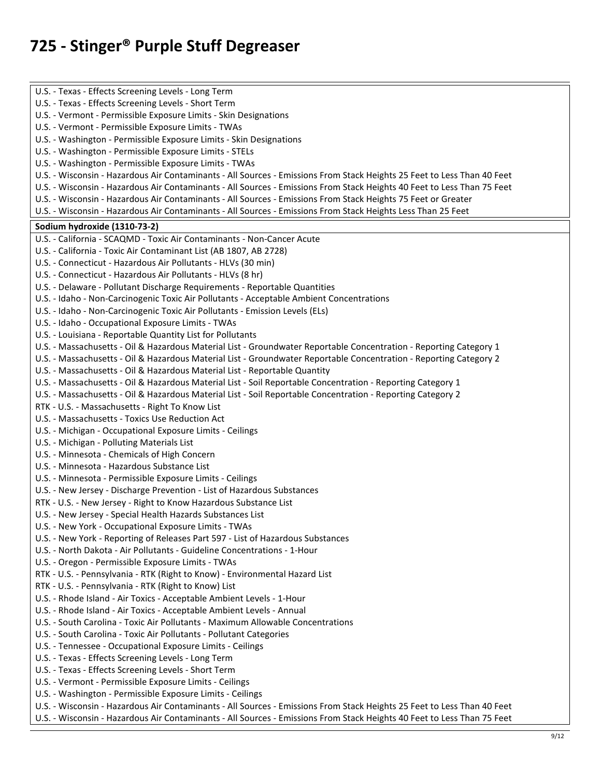U.S. - Texas - Effects Screening Levels - Long Term U.S. - Texas - Effects Screening Levels - Short Term U.S. - Vermont - Permissible Exposure Limits - Skin Designations U.S. - Vermont - Permissible Exposure Limits - TWAs U.S. - Washington - Permissible Exposure Limits - Skin Designations U.S. - Washington - Permissible Exposure Limits - STELs U.S. - Washington - Permissible Exposure Limits - TWAs U.S. - Wisconsin - Hazardous Air Contaminants - All Sources - Emissions From Stack Heights 25 Feet to Less Than 40 Feet U.S. - Wisconsin - Hazardous Air Contaminants - All Sources - Emissions From Stack Heights 40 Feet to Less Than 75 Feet U.S. - Wisconsin - Hazardous Air Contaminants - All Sources - Emissions From Stack Heights 75 Feet or Greater U.S. - Wisconsin - Hazardous Air Contaminants - All Sources - Emissions From Stack Heights Less Than 25 Feet **Sodium hydroxide (1310-73-2)**  U.S. - California - SCAQMD - Toxic Air Contaminants - Non-Cancer Acute U.S. - California - Toxic Air Contaminant List (AB 1807, AB 2728) U.S. - Connecticut - Hazardous Air Pollutants - HLVs (30 min) U.S. - Connecticut - Hazardous Air Pollutants - HLVs (8 hr) U.S. - Delaware - Pollutant Discharge Requirements - Reportable Quantities U.S. - Idaho - Non-Carcinogenic Toxic Air Pollutants - Acceptable Ambient Concentrations U.S. - Idaho - Non-Carcinogenic Toxic Air Pollutants - Emission Levels (ELs) U.S. - Idaho - Occupational Exposure Limits - TWAs U.S. - Louisiana - Reportable Quantity List for Pollutants U.S. - Massachusetts - Oil & Hazardous Material List - Groundwater Reportable Concentration - Reporting Category 1 U.S. - Massachusetts - Oil & Hazardous Material List - Groundwater Reportable Concentration - Reporting Category 2 U.S. - Massachusetts - Oil & Hazardous Material List - Reportable Quantity U.S. - Massachusetts - Oil & Hazardous Material List - Soil Reportable Concentration - Reporting Category 1 U.S. - Massachusetts - Oil & Hazardous Material List - Soil Reportable Concentration - Reporting Category 2 RTK - U.S. - Massachusetts - Right To Know List U.S. - Massachusetts - Toxics Use Reduction Act U.S. - Michigan - Occupational Exposure Limits - Ceilings U.S. - Michigan - Polluting Materials List U.S. - Minnesota - Chemicals of High Concern U.S. - Minnesota - Hazardous Substance List U.S. - Minnesota - Permissible Exposure Limits - Ceilings U.S. - New Jersey - Discharge Prevention - List of Hazardous Substances RTK - U.S. - New Jersey - Right to Know Hazardous Substance List U.S. - New Jersey - Special Health Hazards Substances List U.S. - New York - Occupational Exposure Limits - TWAs U.S. - New York - Reporting of Releases Part 597 - List of Hazardous Substances U.S. - North Dakota - Air Pollutants - Guideline Concentrations - 1-Hour U.S. - Oregon - Permissible Exposure Limits - TWAs RTK - U.S. - Pennsylvania - RTK (Right to Know) - Environmental Hazard List RTK - U.S. - Pennsylvania - RTK (Right to Know) List U.S. - Rhode Island - Air Toxics - Acceptable Ambient Levels - 1-Hour U.S. - Rhode Island - Air Toxics - Acceptable Ambient Levels - Annual U.S. - South Carolina - Toxic Air Pollutants - Maximum Allowable Concentrations U.S. - South Carolina - Toxic Air Pollutants - Pollutant Categories U.S. - Tennessee - Occupational Exposure Limits - Ceilings U.S. - Texas - Effects Screening Levels - Long Term U.S. - Texas - Effects Screening Levels - Short Term U.S. - Vermont - Permissible Exposure Limits - Ceilings U.S. - Washington - Permissible Exposure Limits - Ceilings U.S. - Wisconsin - Hazardous Air Contaminants - All Sources - Emissions From Stack Heights 25 Feet to Less Than 40 Feet U.S. - Wisconsin - Hazardous Air Contaminants - All Sources - Emissions From Stack Heights 40 Feet to Less Than 75 Feet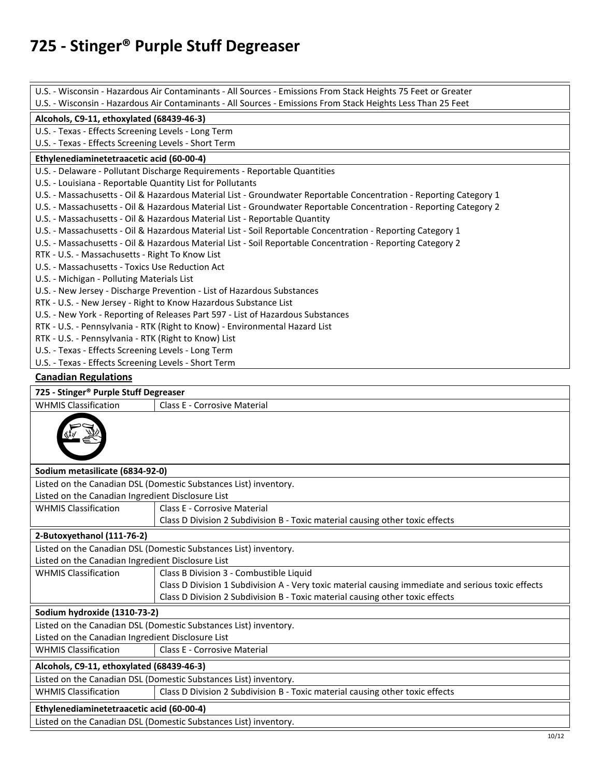|                                                                                                              | U.S. - Wisconsin - Hazardous Air Contaminants - All Sources - Emissions From Stack Heights 75 Feet or Greater                                                                                    |  |  |  |
|--------------------------------------------------------------------------------------------------------------|--------------------------------------------------------------------------------------------------------------------------------------------------------------------------------------------------|--|--|--|
| U.S. - Wisconsin - Hazardous Air Contaminants - All Sources - Emissions From Stack Heights Less Than 25 Feet |                                                                                                                                                                                                  |  |  |  |
| Alcohols, C9-11, ethoxylated (68439-46-3)                                                                    |                                                                                                                                                                                                  |  |  |  |
| U.S. - Texas - Effects Screening Levels - Long Term<br>U.S. - Texas - Effects Screening Levels - Short Term  |                                                                                                                                                                                                  |  |  |  |
|                                                                                                              |                                                                                                                                                                                                  |  |  |  |
| Ethylenediaminetetraacetic acid (60-00-4)                                                                    |                                                                                                                                                                                                  |  |  |  |
|                                                                                                              | U.S. - Delaware - Pollutant Discharge Requirements - Reportable Quantities                                                                                                                       |  |  |  |
| U.S. - Louisiana - Reportable Quantity List for Pollutants                                                   |                                                                                                                                                                                                  |  |  |  |
|                                                                                                              | U.S. - Massachusetts - Oil & Hazardous Material List - Groundwater Reportable Concentration - Reporting Category 1                                                                               |  |  |  |
|                                                                                                              | U.S. - Massachusetts - Oil & Hazardous Material List - Groundwater Reportable Concentration - Reporting Category 2<br>U.S. - Massachusetts - Oil & Hazardous Material List - Reportable Quantity |  |  |  |
|                                                                                                              | U.S. - Massachusetts - Oil & Hazardous Material List - Soil Reportable Concentration - Reporting Category 1                                                                                      |  |  |  |
|                                                                                                              | U.S. - Massachusetts - Oil & Hazardous Material List - Soil Reportable Concentration - Reporting Category 2                                                                                      |  |  |  |
| RTK - U.S. - Massachusetts - Right To Know List                                                              |                                                                                                                                                                                                  |  |  |  |
| U.S. - Massachusetts - Toxics Use Reduction Act                                                              |                                                                                                                                                                                                  |  |  |  |
| U.S. - Michigan - Polluting Materials List                                                                   |                                                                                                                                                                                                  |  |  |  |
|                                                                                                              | U.S. - New Jersey - Discharge Prevention - List of Hazardous Substances                                                                                                                          |  |  |  |
|                                                                                                              | RTK - U.S. - New Jersey - Right to Know Hazardous Substance List                                                                                                                                 |  |  |  |
|                                                                                                              | U.S. - New York - Reporting of Releases Part 597 - List of Hazardous Substances                                                                                                                  |  |  |  |
|                                                                                                              | RTK - U.S. - Pennsylvania - RTK (Right to Know) - Environmental Hazard List                                                                                                                      |  |  |  |
| RTK - U.S. - Pennsylvania - RTK (Right to Know) List                                                         |                                                                                                                                                                                                  |  |  |  |
| U.S. - Texas - Effects Screening Levels - Long Term                                                          |                                                                                                                                                                                                  |  |  |  |
| U.S. - Texas - Effects Screening Levels - Short Term                                                         |                                                                                                                                                                                                  |  |  |  |
| <b>Canadian Regulations</b>                                                                                  |                                                                                                                                                                                                  |  |  |  |
| 725 - Stinger® Purple Stuff Degreaser                                                                        |                                                                                                                                                                                                  |  |  |  |
| <b>WHMIS Classification</b><br><b>Class E - Corrosive Material</b>                                           |                                                                                                                                                                                                  |  |  |  |
|                                                                                                              |                                                                                                                                                                                                  |  |  |  |
| Sodium metasilicate (6834-92-0)                                                                              |                                                                                                                                                                                                  |  |  |  |
| Listed on the Canadian DSL (Domestic Substances List) inventory.                                             |                                                                                                                                                                                                  |  |  |  |
| Listed on the Canadian Ingredient Disclosure List                                                            |                                                                                                                                                                                                  |  |  |  |
| <b>WHMIS Classification</b>                                                                                  | Class E - Corrosive Material                                                                                                                                                                     |  |  |  |
|                                                                                                              | Class D Division 2 Subdivision B - Toxic material causing other toxic effects                                                                                                                    |  |  |  |
| 2-Butoxyethanol (111-76-2)                                                                                   |                                                                                                                                                                                                  |  |  |  |
|                                                                                                              | Listed on the Canadian DSL (Domestic Substances List) inventory.                                                                                                                                 |  |  |  |
| Listed on the Canadian Ingredient Disclosure List                                                            |                                                                                                                                                                                                  |  |  |  |
| <b>WHMIS Classification</b>                                                                                  | Class B Division 3 - Combustible Liquid                                                                                                                                                          |  |  |  |
|                                                                                                              | Class D Division 1 Subdivision A - Very toxic material causing immediate and serious toxic effects                                                                                               |  |  |  |
|                                                                                                              | Class D Division 2 Subdivision B - Toxic material causing other toxic effects                                                                                                                    |  |  |  |
| Sodium hydroxide (1310-73-2)                                                                                 |                                                                                                                                                                                                  |  |  |  |
| Listed on the Canadian DSL (Domestic Substances List) inventory.                                             |                                                                                                                                                                                                  |  |  |  |
| Listed on the Canadian Ingredient Disclosure List                                                            |                                                                                                                                                                                                  |  |  |  |
| <b>WHMIS Classification</b>                                                                                  | Class E - Corrosive Material                                                                                                                                                                     |  |  |  |
| Alcohols, C9-11, ethoxylated (68439-46-3)                                                                    |                                                                                                                                                                                                  |  |  |  |
|                                                                                                              | Listed on the Canadian DSL (Domestic Substances List) inventory.                                                                                                                                 |  |  |  |
| <b>WHMIS Classification</b>                                                                                  | Class D Division 2 Subdivision B - Toxic material causing other toxic effects                                                                                                                    |  |  |  |
| Ethylenediaminetetraacetic acid (60-00-4)                                                                    |                                                                                                                                                                                                  |  |  |  |
|                                                                                                              | Listed on the Canadian DSL (Domestic Substances List) inventory.                                                                                                                                 |  |  |  |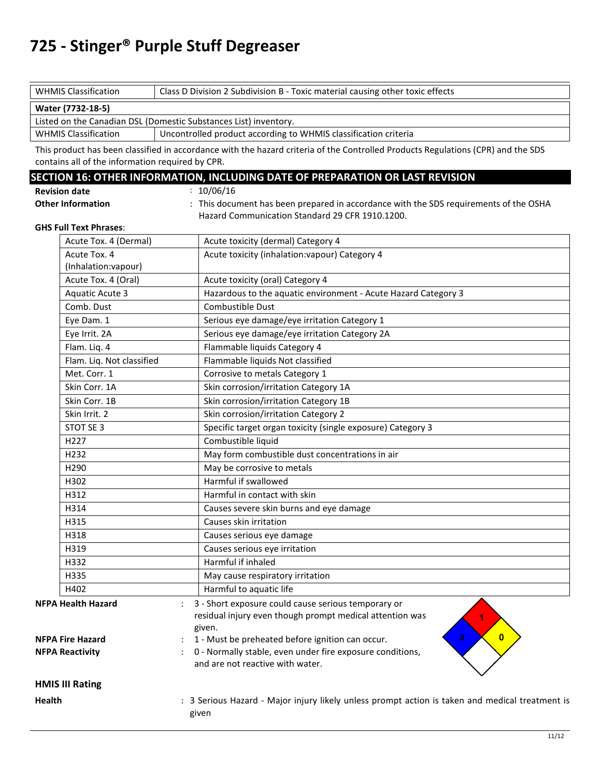| <b>WHMIS Classification</b><br>Class D Division 2 Subdivision B - Toxic material causing other toxic effects |  |  |  |
|--------------------------------------------------------------------------------------------------------------|--|--|--|
| Water (7732-18-5)                                                                                            |  |  |  |
| Listed on the Canadian DSL (Domestic Substances List) inventory.                                             |  |  |  |
| <b>WHMIS Classification</b><br>Uncontrolled product according to WHMIS classification criteria               |  |  |  |

This product has been classified in accordance with the hazard criteria of the Controlled Products Regulations (CPR) and the SDS contains all of the information required by CPR.

#### **SECTION 16: OTHER INFORMATION, INCLUDING DATE OF PREPARATION OR LAST REVISION**

 $: 10/06/16$ 

| <b>Revision date</b>     |  |
|--------------------------|--|
| <b>Other Information</b> |  |

: This document has been prepared in accordance with the SDS requirements of the OSHA Hazard Communication Standard 29 CFR 1910.1200.

#### **GHS Full Text Phrases**:

|               | Acute Tox. 4 (Dermal)     | Acute toxicity (dermal) Category 4                                                                                        |
|---------------|---------------------------|---------------------------------------------------------------------------------------------------------------------------|
|               | Acute Tox. 4              | Acute toxicity (inhalation: vapour) Category 4                                                                            |
|               | (Inhalation:vapour)       |                                                                                                                           |
|               | Acute Tox. 4 (Oral)       | Acute toxicity (oral) Category 4                                                                                          |
|               | <b>Aquatic Acute 3</b>    | Hazardous to the aquatic environment - Acute Hazard Category 3                                                            |
|               | Comb. Dust                | Combustible Dust                                                                                                          |
|               | Eye Dam. 1                | Serious eye damage/eye irritation Category 1                                                                              |
|               | Eye Irrit. 2A             | Serious eye damage/eye irritation Category 2A                                                                             |
|               | Flam. Liq. 4              | Flammable liquids Category 4                                                                                              |
|               | Flam. Liq. Not classified | Flammable liquids Not classified                                                                                          |
|               | Met. Corr. 1              | Corrosive to metals Category 1                                                                                            |
|               | Skin Corr. 1A             | Skin corrosion/irritation Category 1A                                                                                     |
|               | Skin Corr. 1B             | Skin corrosion/irritation Category 1B                                                                                     |
|               | Skin Irrit. 2             | Skin corrosion/irritation Category 2                                                                                      |
|               | STOT SE 3                 | Specific target organ toxicity (single exposure) Category 3                                                               |
|               | H227                      | Combustible liquid                                                                                                        |
|               | H232                      | May form combustible dust concentrations in air                                                                           |
|               | H290                      | May be corrosive to metals                                                                                                |
|               | H302                      | Harmful if swallowed                                                                                                      |
|               | H312                      | Harmful in contact with skin                                                                                              |
|               | H314                      | Causes severe skin burns and eye damage                                                                                   |
|               | H315                      | Causes skin irritation                                                                                                    |
|               | H318                      | Causes serious eye damage                                                                                                 |
|               | H319                      | Causes serious eye irritation                                                                                             |
|               | H332                      | Harmful if inhaled                                                                                                        |
|               | H335                      | May cause respiratory irritation                                                                                          |
|               | H402                      | Harmful to aquatic life                                                                                                   |
|               | <b>NFPA Health Hazard</b> | 3 - Short exposure could cause serious temporary or<br>residual injury even though prompt medical attention was<br>given. |
|               | <b>NFPA Fire Hazard</b>   | 3<br>$\mathbf{0}$<br>1 - Must be preheated before ignition can occur.                                                     |
|               | <b>NFPA Reactivity</b>    | 0 - Normally stable, even under fire exposure conditions,<br>and are not reactive with water.                             |
|               | <b>HMIS III Rating</b>    |                                                                                                                           |
| <b>Health</b> |                           | : 3 Serious Hazard - Major injury likely unless prompt action is taken and medical treatment is<br>given                  |